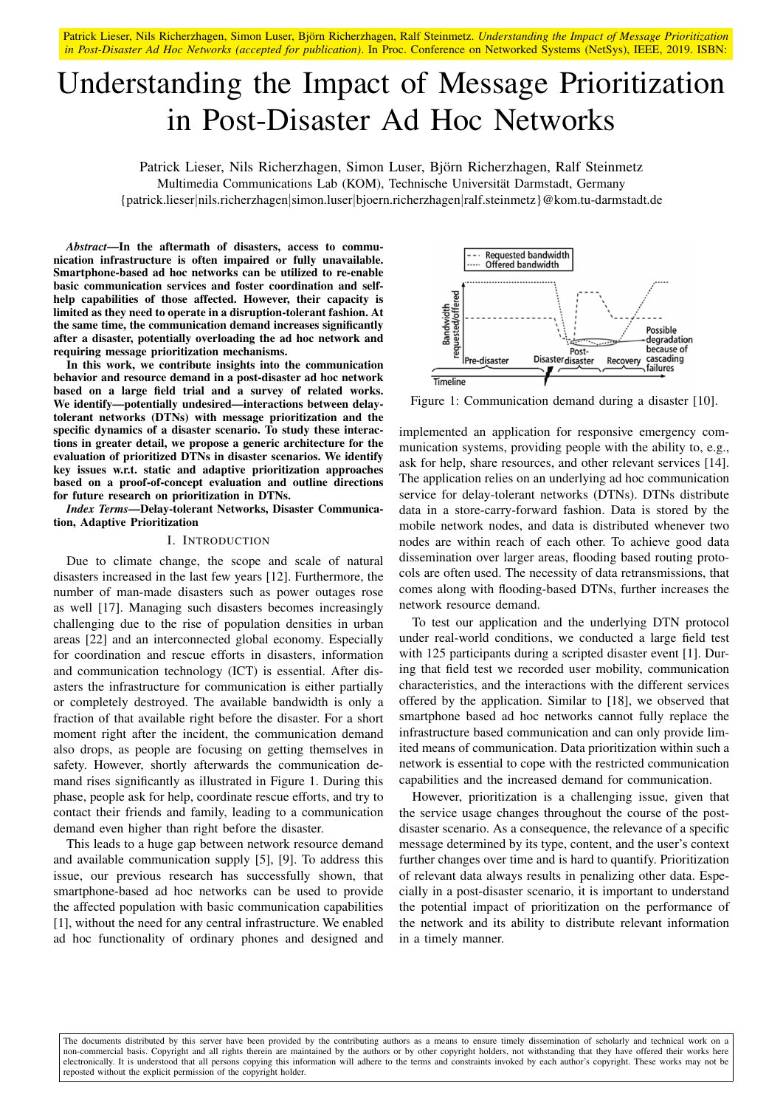Patrick Lieser, Nils Richerzhagen, Simon Luser, Björn Richerzhagen, Ralf Steinmetz. *Understanding the Impact of Message Prioritization in Post-Disaster Ad Hoc Networks (accepted for publication)*. In Proc. Conference on Networked Systems (NetSys), IEEE, 2019. ISBN:

# Understanding the Impact of Message Prioritization in Post-Disaster Ad Hoc Networks

Patrick Lieser, Nils Richerzhagen, Simon Luser, Björn Richerzhagen, Ralf Steinmetz Multimedia Communications Lab (KOM), Technische Universität Darmstadt, Germany {patrick.lieser|nils.richerzhagen|simon.luser|bjoern.richerzhagen|ralf.steinmetz}@kom.tu-darmstadt.de

*Abstract*—In the aftermath of disasters, access to communication infrastructure is often impaired or fully unavailable. Smartphone-based ad hoc networks can be utilized to re-enable basic communication services and foster coordination and selfhelp capabilities of those affected. However, their capacity is limited as they need to operate in a disruption-tolerant fashion. At the same time, the communication demand increases significantly after a disaster, potentially overloading the ad hoc network and requiring message prioritization mechanisms.

In this work, we contribute insights into the communication behavior and resource demand in a post-disaster ad hoc network based on a large field trial and a survey of related works. We identify—potentially undesired—interactions between delaytolerant networks (DTNs) with message prioritization and the specific dynamics of a disaster scenario. To study these interactions in greater detail, we propose a generic architecture for the evaluation of prioritized DTNs in disaster scenarios. We identify key issues w.r.t. static and adaptive prioritization approaches based on a proof-of-concept evaluation and outline directions for future research on prioritization in DTNs.

*Index Terms*—Delay-tolerant Networks, Disaster Communication, Adaptive Prioritization

# I. INTRODUCTION

Due to climate change, the scope and scale of natural disasters increased in the last few years [12]. Furthermore, the number of man-made disasters such as power outages rose as well [17]. Managing such disasters becomes increasingly challenging due to the rise of population densities in urban areas [22] and an interconnected global economy. Especially for coordination and rescue efforts in disasters, information and communication technology (ICT) is essential. After disasters the infrastructure for communication is either partially or completely destroyed. The available bandwidth is only a fraction of that available right before the disaster. For a short moment right after the incident, the communication demand also drops, as people are focusing on getting themselves in safety. However, shortly afterwards the communication demand rises significantly as illustrated in Figure 1. During this phase, people ask for help, coordinate rescue efforts, and try to contact their friends and family, leading to a communication demand even higher than right before the disaster.

This leads to a huge gap between network resource demand and available communication supply [5], [9]. To address this issue, our previous research has successfully shown, that smartphone-based ad hoc networks can be used to provide the affected population with basic communication capabilities [1], without the need for any central infrastructure. We enabled ad hoc functionality of ordinary phones and designed and



Figure 1: Communication demand during a disaster [10].

implemented an application for responsive emergency communication systems, providing people with the ability to, e.g., ask for help, share resources, and other relevant services [14]. The application relies on an underlying ad hoc communication service for delay-tolerant networks (DTNs). DTNs distribute data in a store-carry-forward fashion. Data is stored by the mobile network nodes, and data is distributed whenever two nodes are within reach of each other. To achieve good data dissemination over larger areas, flooding based routing protocols are often used. The necessity of data retransmissions, that comes along with flooding-based DTNs, further increases the network resource demand.

To test our application and the underlying DTN protocol under real-world conditions, we conducted a large field test with 125 participants during a scripted disaster event [1]. During that field test we recorded user mobility, communication characteristics, and the interactions with the different services offered by the application. Similar to [18], we observed that smartphone based ad hoc networks cannot fully replace the infrastructure based communication and can only provide limited means of communication. Data prioritization within such a network is essential to cope with the restricted communication capabilities and the increased demand for communication.

However, prioritization is a challenging issue, given that the service usage changes throughout the course of the postdisaster scenario. As a consequence, the relevance of a specific message determined by its type, content, and the user's context further changes over time and is hard to quantify. Prioritization of relevant data always results in penalizing other data. Especially in a post-disaster scenario, it is important to understand the potential impact of prioritization on the performance of the network and its ability to distribute relevant information in a timely manner.

The documents distributed by this server have been provided by the contributing authors as a means to ensure timely dissemination of scholarly and technical work on a non-commercial basis. Copyright and all rights therein are maintained by the authors or by other copyright holders, not withstanding that they have offered their works here electronically. It is understood that all persons copying this information will adhere to the terms and constraints invoked by each author's copyright. These works may not be reposted without the explicit permission of the copyright holder.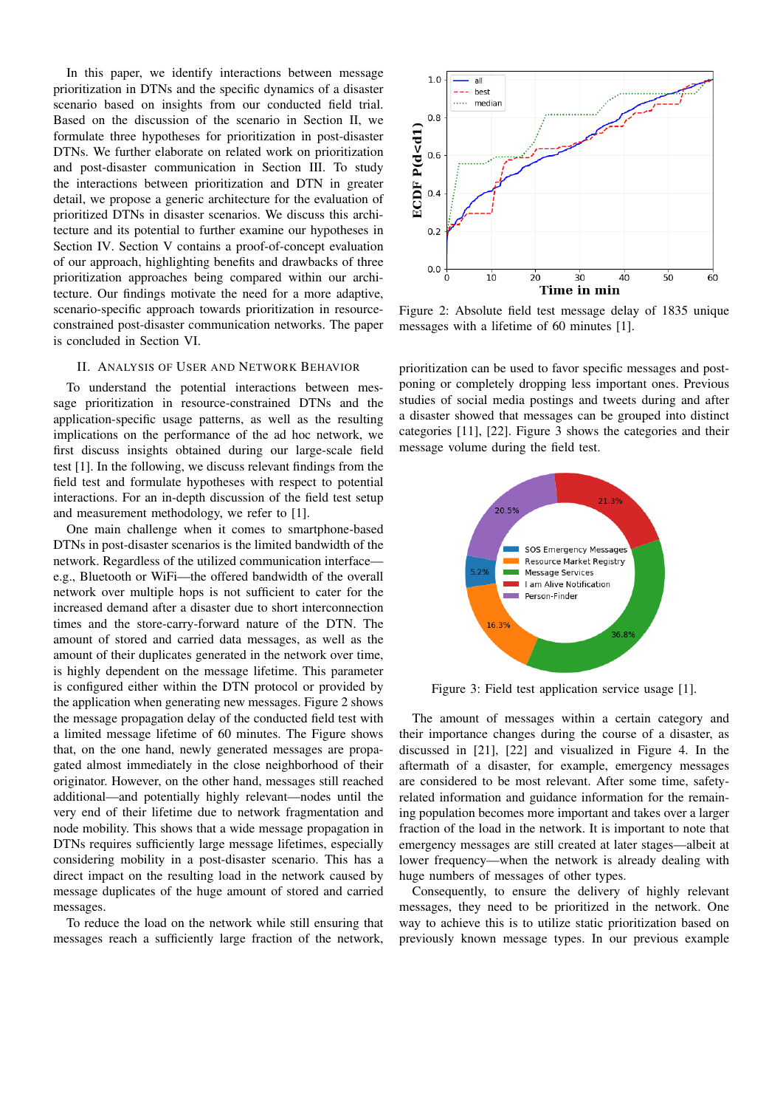In this paper, we identify interactions between message prioritization in DTNs and the specific dynamics of a disaster scenario based on insights from our conducted field trial. Based on the discussion of the scenario in Section II, we formulate three hypotheses for prioritization in post-disaster DTNs. We further elaborate on related work on prioritization and post-disaster communication in Section III. To study the interactions between prioritization and DTN in greater detail, we propose a generic architecture for the evaluation of prioritized DTNs in disaster scenarios. We discuss this architecture and its potential to further examine our hypotheses in Section IV. Section V contains a proof-of-concept evaluation of our approach, highlighting benefits and drawbacks of three prioritization approaches being compared within our architecture. Our findings motivate the need for a more adaptive, scenario-specific approach towards prioritization in resourceconstrained post-disaster communication networks. The paper is concluded in Section VI.

## II. ANALYSIS OF USER AND NETWORK BEHAVIOR

To understand the potential interactions between message prioritization in resource-constrained DTNs and the application-specific usage patterns, as well as the resulting implications on the performance of the ad hoc network, we first discuss insights obtained during our large-scale field test [1]. In the following, we discuss relevant findings from the field test and formulate hypotheses with respect to potential interactions. For an in-depth discussion of the field test setup and measurement methodology, we refer to [1].

One main challenge when it comes to smartphone-based DTNs in post-disaster scenarios is the limited bandwidth of the network. Regardless of the utilized communication interface e.g., Bluetooth or WiFi—the offered bandwidth of the overall network over multiple hops is not sufficient to cater for the increased demand after a disaster due to short interconnection times and the store-carry-forward nature of the DTN. The amount of stored and carried data messages, as well as the amount of their duplicates generated in the network over time, is highly dependent on the message lifetime. This parameter is configured either within the DTN protocol or provided by the application when generating new messages. Figure 2 shows the message propagation delay of the conducted field test with a limited message lifetime of 60 minutes. The Figure shows that, on the one hand, newly generated messages are propagated almost immediately in the close neighborhood of their originator. However, on the other hand, messages still reached additional—and potentially highly relevant—nodes until the very end of their lifetime due to network fragmentation and node mobility. This shows that a wide message propagation in DTNs requires sufficiently large message lifetimes, especially considering mobility in a post-disaster scenario. This has a direct impact on the resulting load in the network caused by message duplicates of the huge amount of stored and carried messages.

To reduce the load on the network while still ensuring that messages reach a sufficiently large fraction of the network,



Figure 2: Absolute field test message delay of 1835 unique messages with a lifetime of 60 minutes [1].

prioritization can be used to favor specific messages and postponing or completely dropping less important ones. Previous studies of social media postings and tweets during and after a disaster showed that messages can be grouped into distinct categories [11], [22]. Figure 3 shows the categories and their message volume during the field test.



Figure 3: Field test application service usage [1].

The amount of messages within a certain category and their importance changes during the course of a disaster, as discussed in [21], [22] and visualized in Figure 4. In the aftermath of a disaster, for example, emergency messages are considered to be most relevant. After some time, safetyrelated information and guidance information for the remaining population becomes more important and takes over a larger fraction of the load in the network. It is important to note that emergency messages are still created at later stages—albeit at lower frequency—when the network is already dealing with huge numbers of messages of other types.

Consequently, to ensure the delivery of highly relevant messages, they need to be prioritized in the network. One way to achieve this is to utilize static prioritization based on previously known message types. In our previous example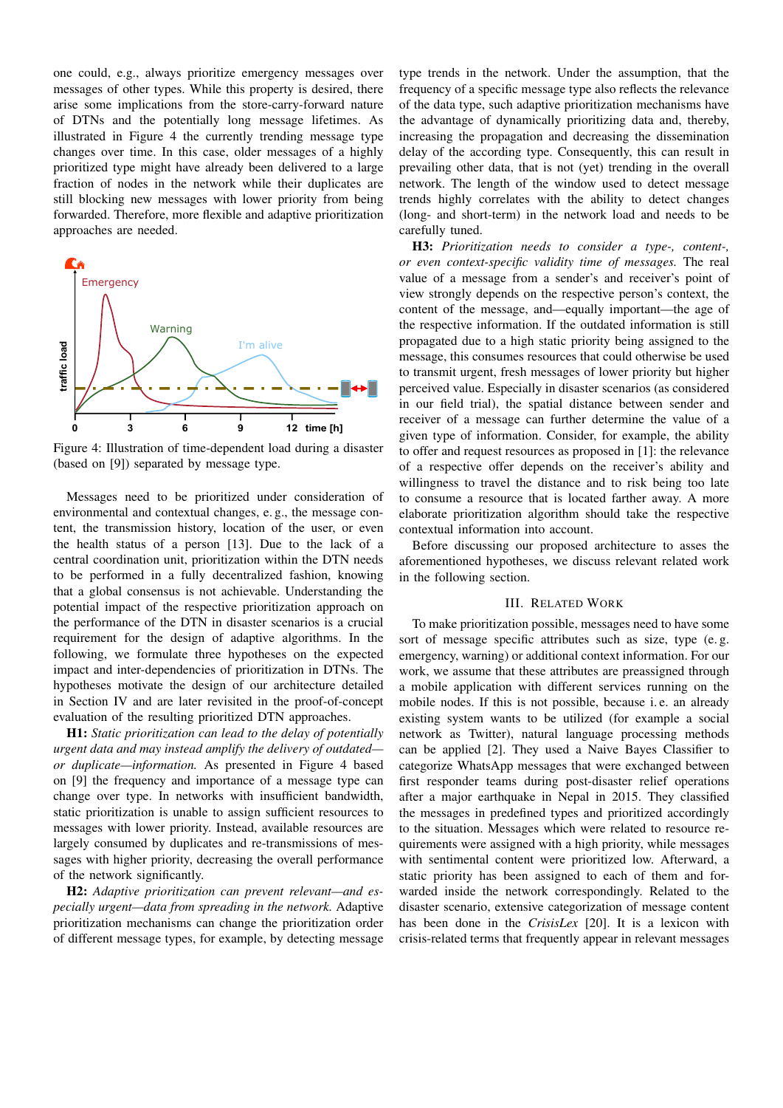one could, e.g., always prioritize emergency messages over messages of other types. While this property is desired, there arise some implications from the store-carry-forward nature of DTNs and the potentially long message lifetimes. As illustrated in Figure 4 the currently trending message type changes over time. In this case, older messages of a highly prioritized type might have already been delivered to a large fraction of nodes in the network while their duplicates are still blocking new messages with lower priority from being forwarded. Therefore, more flexible and adaptive prioritization approaches are needed.



Figure 4: Illustration of time-dependent load during a disaster (based on [9]) separated by message type.

Messages need to be prioritized under consideration of environmental and contextual changes, e. g., the message content, the transmission history, location of the user, or even the health status of a person [13]. Due to the lack of a central coordination unit, prioritization within the DTN needs to be performed in a fully decentralized fashion, knowing that a global consensus is not achievable. Understanding the potential impact of the respective prioritization approach on the performance of the DTN in disaster scenarios is a crucial requirement for the design of adaptive algorithms. In the following, we formulate three hypotheses on the expected impact and inter-dependencies of prioritization in DTNs. The hypotheses motivate the design of our architecture detailed in Section IV and are later revisited in the proof-of-concept evaluation of the resulting prioritized DTN approaches.

H1: *Static prioritization can lead to the delay of potentially urgent data and may instead amplify the delivery of outdated or duplicate—information.* As presented in Figure 4 based on [9] the frequency and importance of a message type can change over type. In networks with insufficient bandwidth, static prioritization is unable to assign sufficient resources to messages with lower priority. Instead, available resources are largely consumed by duplicates and re-transmissions of messages with higher priority, decreasing the overall performance of the network significantly.

H2: *Adaptive prioritization can prevent relevant—and especially urgent—data from spreading in the network.* Adaptive prioritization mechanisms can change the prioritization order of different message types, for example, by detecting message

type trends in the network. Under the assumption, that the frequency of a specific message type also reflects the relevance of the data type, such adaptive prioritization mechanisms have the advantage of dynamically prioritizing data and, thereby, increasing the propagation and decreasing the dissemination delay of the according type. Consequently, this can result in prevailing other data, that is not (yet) trending in the overall network. The length of the window used to detect message trends highly correlates with the ability to detect changes (long- and short-term) in the network load and needs to be carefully tuned.

H3: *Prioritization needs to consider a type-, content-, or even context-specific validity time of messages.* The real value of a message from a sender's and receiver's point of view strongly depends on the respective person's context, the content of the message, and—equally important—the age of the respective information. If the outdated information is still propagated due to a high static priority being assigned to the message, this consumes resources that could otherwise be used to transmit urgent, fresh messages of lower priority but higher perceived value. Especially in disaster scenarios (as considered in our field trial), the spatial distance between sender and receiver of a message can further determine the value of a given type of information. Consider, for example, the ability to offer and request resources as proposed in [1]: the relevance of a respective offer depends on the receiver's ability and willingness to travel the distance and to risk being too late to consume a resource that is located farther away. A more elaborate prioritization algorithm should take the respective contextual information into account.

Before discussing our proposed architecture to asses the aforementioned hypotheses, we discuss relevant related work in the following section.

#### III. RELATED WORK

To make prioritization possible, messages need to have some sort of message specific attributes such as size, type (e. g. emergency, warning) or additional context information. For our work, we assume that these attributes are preassigned through a mobile application with different services running on the mobile nodes. If this is not possible, because i. e. an already existing system wants to be utilized (for example a social network as Twitter), natural language processing methods can be applied [2]. They used a Naive Bayes Classifier to categorize WhatsApp messages that were exchanged between first responder teams during post-disaster relief operations after a major earthquake in Nepal in 2015. They classified the messages in predefined types and prioritized accordingly to the situation. Messages which were related to resource requirements were assigned with a high priority, while messages with sentimental content were prioritized low. Afterward, a static priority has been assigned to each of them and forwarded inside the network correspondingly. Related to the disaster scenario, extensive categorization of message content has been done in the *CrisisLex* [20]. It is a lexicon with crisis-related terms that frequently appear in relevant messages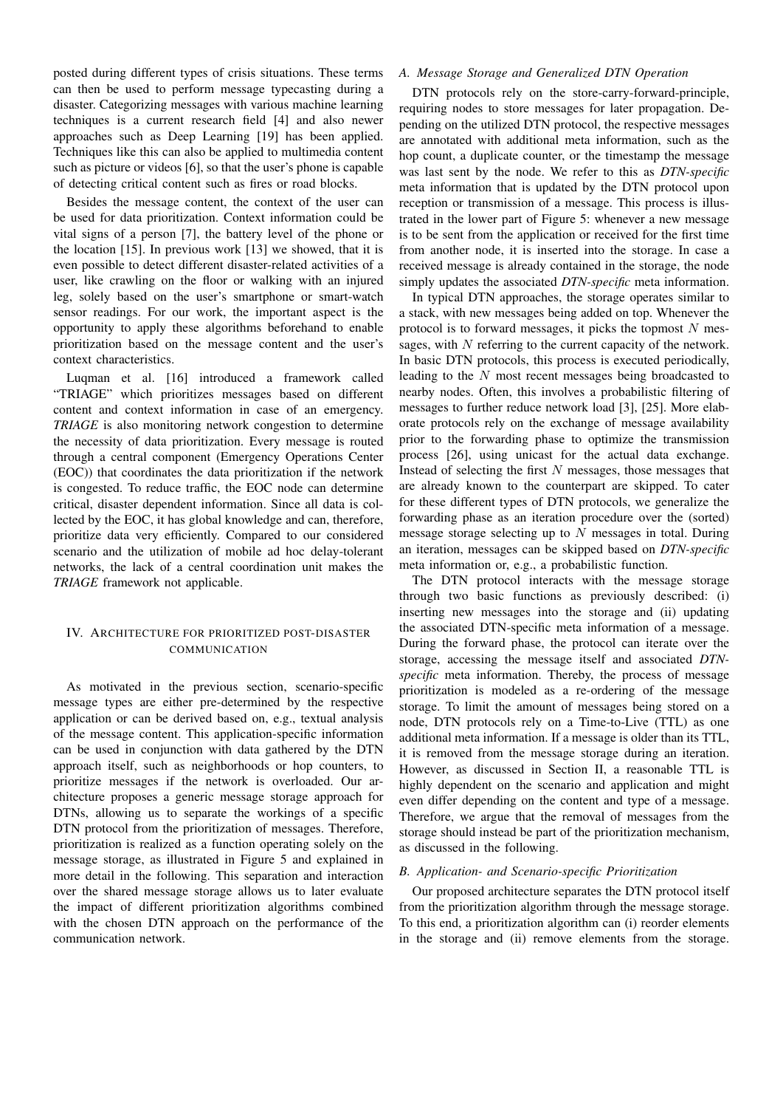posted during different types of crisis situations. These terms can then be used to perform message typecasting during a disaster. Categorizing messages with various machine learning techniques is a current research field [4] and also newer approaches such as Deep Learning [19] has been applied. Techniques like this can also be applied to multimedia content such as picture or videos [6], so that the user's phone is capable of detecting critical content such as fires or road blocks.

Besides the message content, the context of the user can be used for data prioritization. Context information could be vital signs of a person [7], the battery level of the phone or the location [15]. In previous work [13] we showed, that it is even possible to detect different disaster-related activities of a user, like crawling on the floor or walking with an injured leg, solely based on the user's smartphone or smart-watch sensor readings. For our work, the important aspect is the opportunity to apply these algorithms beforehand to enable prioritization based on the message content and the user's context characteristics.

Luqman et al. [16] introduced a framework called "TRIAGE" which prioritizes messages based on different content and context information in case of an emergency. *TRIAGE* is also monitoring network congestion to determine the necessity of data prioritization. Every message is routed through a central component (Emergency Operations Center (EOC)) that coordinates the data prioritization if the network is congested. To reduce traffic, the EOC node can determine critical, disaster dependent information. Since all data is collected by the EOC, it has global knowledge and can, therefore, prioritize data very efficiently. Compared to our considered scenario and the utilization of mobile ad hoc delay-tolerant networks, the lack of a central coordination unit makes the *TRIAGE* framework not applicable.

## IV. ARCHITECTURE FOR PRIORITIZED POST-DISASTER COMMUNICATION

As motivated in the previous section, scenario-specific message types are either pre-determined by the respective application or can be derived based on, e.g., textual analysis of the message content. This application-specific information can be used in conjunction with data gathered by the DTN approach itself, such as neighborhoods or hop counters, to prioritize messages if the network is overloaded. Our architecture proposes a generic message storage approach for DTNs, allowing us to separate the workings of a specific DTN protocol from the prioritization of messages. Therefore, prioritization is realized as a function operating solely on the message storage, as illustrated in Figure 5 and explained in more detail in the following. This separation and interaction over the shared message storage allows us to later evaluate the impact of different prioritization algorithms combined with the chosen DTN approach on the performance of the communication network.

## *A. Message Storage and Generalized DTN Operation*

DTN protocols rely on the store-carry-forward-principle, requiring nodes to store messages for later propagation. Depending on the utilized DTN protocol, the respective messages are annotated with additional meta information, such as the hop count, a duplicate counter, or the timestamp the message was last sent by the node. We refer to this as *DTN-specific* meta information that is updated by the DTN protocol upon reception or transmission of a message. This process is illustrated in the lower part of Figure 5: whenever a new message is to be sent from the application or received for the first time from another node, it is inserted into the storage. In case a received message is already contained in the storage, the node simply updates the associated *DTN-specific* meta information.

In typical DTN approaches, the storage operates similar to a stack, with new messages being added on top. Whenever the protocol is to forward messages, it picks the topmost  $N$  messages, with  $N$  referring to the current capacity of the network. In basic DTN protocols, this process is executed periodically, leading to the N most recent messages being broadcasted to nearby nodes. Often, this involves a probabilistic filtering of messages to further reduce network load [3], [25]. More elaborate protocols rely on the exchange of message availability prior to the forwarding phase to optimize the transmission process [26], using unicast for the actual data exchange. Instead of selecting the first  $N$  messages, those messages that are already known to the counterpart are skipped. To cater for these different types of DTN protocols, we generalize the forwarding phase as an iteration procedure over the (sorted) message storage selecting up to  $N$  messages in total. During an iteration, messages can be skipped based on *DTN-specific* meta information or, e.g., a probabilistic function.

The DTN protocol interacts with the message storage through two basic functions as previously described: (i) inserting new messages into the storage and (ii) updating the associated DTN-specific meta information of a message. During the forward phase, the protocol can iterate over the storage, accessing the message itself and associated *DTNspecific* meta information. Thereby, the process of message prioritization is modeled as a re-ordering of the message storage. To limit the amount of messages being stored on a node, DTN protocols rely on a Time-to-Live (TTL) as one additional meta information. If a message is older than its TTL, it is removed from the message storage during an iteration. However, as discussed in Section II, a reasonable TTL is highly dependent on the scenario and application and might even differ depending on the content and type of a message. Therefore, we argue that the removal of messages from the storage should instead be part of the prioritization mechanism, as discussed in the following.

#### *B. Application- and Scenario-specific Prioritization*

Our proposed architecture separates the DTN protocol itself from the prioritization algorithm through the message storage. To this end, a prioritization algorithm can (i) reorder elements in the storage and (ii) remove elements from the storage.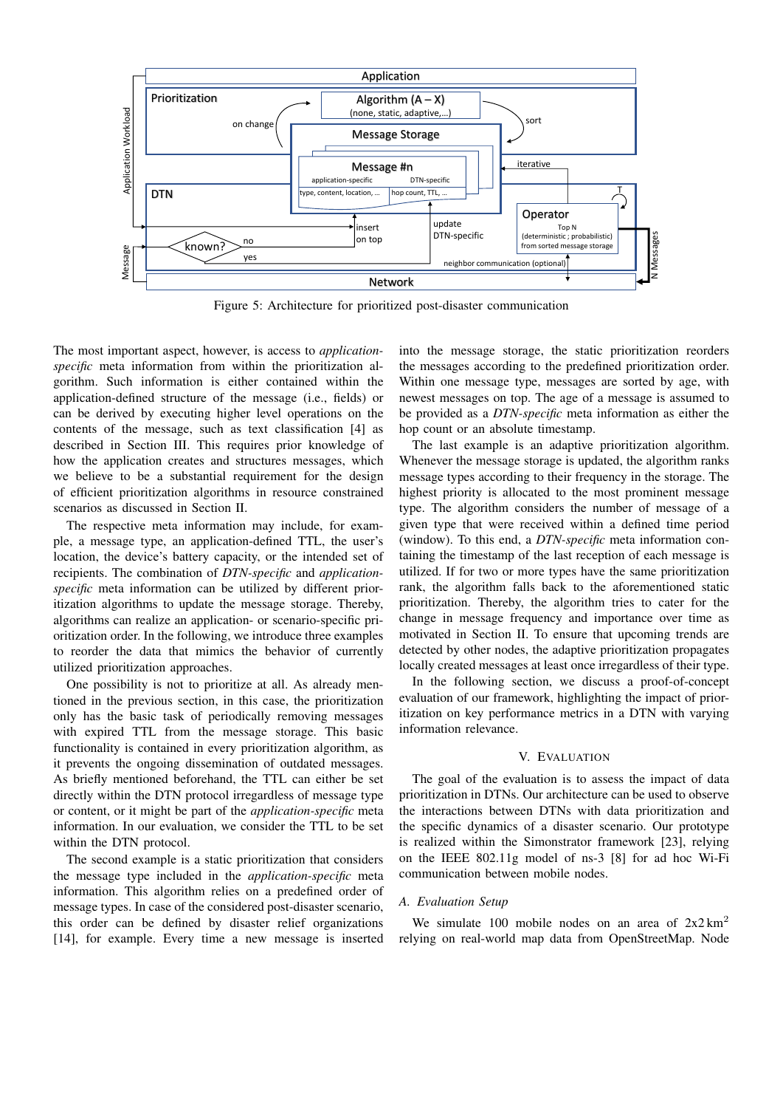

Figure 5: Architecture for prioritized post-disaster communication

The most important aspect, however, is access to *applicationspecific* meta information from within the prioritization algorithm. Such information is either contained within the application-defined structure of the message (i.e., fields) or can be derived by executing higher level operations on the contents of the message, such as text classification [4] as described in Section III. This requires prior knowledge of how the application creates and structures messages, which we believe to be a substantial requirement for the design of efficient prioritization algorithms in resource constrained scenarios as discussed in Section II.

The respective meta information may include, for example, a message type, an application-defined TTL, the user's location, the device's battery capacity, or the intended set of recipients. The combination of *DTN-specific* and *applicationspecific* meta information can be utilized by different prioritization algorithms to update the message storage. Thereby, algorithms can realize an application- or scenario-specific prioritization order. In the following, we introduce three examples to reorder the data that mimics the behavior of currently utilized prioritization approaches.

One possibility is not to prioritize at all. As already mentioned in the previous section, in this case, the prioritization only has the basic task of periodically removing messages with expired TTL from the message storage. This basic functionality is contained in every prioritization algorithm, as it prevents the ongoing dissemination of outdated messages. As briefly mentioned beforehand, the TTL can either be set directly within the DTN protocol irregardless of message type or content, or it might be part of the *application-specific* meta information. In our evaluation, we consider the TTL to be set within the DTN protocol.

The second example is a static prioritization that considers the message type included in the *application-specific* meta information. This algorithm relies on a predefined order of message types. In case of the considered post-disaster scenario, this order can be defined by disaster relief organizations [14], for example. Every time a new message is inserted into the message storage, the static prioritization reorders the messages according to the predefined prioritization order. Within one message type, messages are sorted by age, with newest messages on top. The age of a message is assumed to be provided as a *DTN-specific* meta information as either the hop count or an absolute timestamp.

The last example is an adaptive prioritization algorithm. Whenever the message storage is updated, the algorithm ranks message types according to their frequency in the storage. The highest priority is allocated to the most prominent message type. The algorithm considers the number of message of a given type that were received within a defined time period (window). To this end, a *DTN-specific* meta information containing the timestamp of the last reception of each message is utilized. If for two or more types have the same prioritization rank, the algorithm falls back to the aforementioned static prioritization. Thereby, the algorithm tries to cater for the change in message frequency and importance over time as motivated in Section II. To ensure that upcoming trends are detected by other nodes, the adaptive prioritization propagates locally created messages at least once irregardless of their type.

In the following section, we discuss a proof-of-concept evaluation of our framework, highlighting the impact of prioritization on key performance metrics in a DTN with varying information relevance.

## V. EVALUATION

The goal of the evaluation is to assess the impact of data prioritization in DTNs. Our architecture can be used to observe the interactions between DTNs with data prioritization and the specific dynamics of a disaster scenario. Our prototype is realized within the Simonstrator framework [23], relying on the IEEE 802.11g model of ns-3 [8] for ad hoc Wi-Fi communication between mobile nodes.

## *A. Evaluation Setup*

We simulate 100 mobile nodes on an area of  $2x2 \text{ km}^2$ relying on real-world map data from OpenStreetMap. Node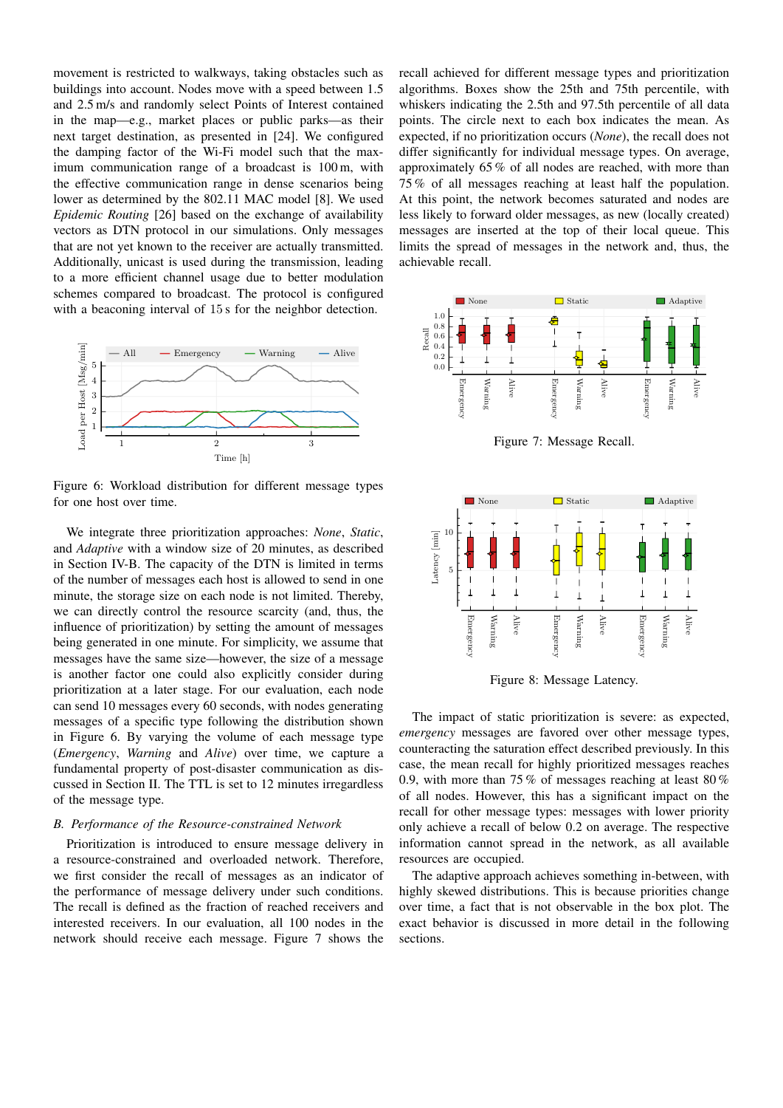movement is restricted to walkways, taking obstacles such as buildings into account. Nodes move with a speed between 1.5 and 2.5 m/s and randomly select Points of Interest contained in the map—e.g., market places or public parks—as their next target destination, as presented in [24]. We configured the damping factor of the Wi-Fi model such that the maximum communication range of a broadcast is 100 m, with the effective communication range in dense scenarios being lower as determined by the 802.11 MAC model [8]. We used *Epidemic Routing* [26] based on the exchange of availability vectors as DTN protocol in our simulations. Only messages that are not yet known to the receiver are actually transmitted. Additionally, unicast is used during the transmission, leading to a more efficient channel usage due to better modulation schemes compared to broadcast. The protocol is configured with a beaconing interval of 15 s for the neighbor detection.



Figure 6: Workload distribution for different message types for one host over time.

We integrate three prioritization approaches: *None*, *Static*, and *Adaptive* with a window size of 20 minutes, as described in Section IV-B. The capacity of the DTN is limited in terms of the number of messages each host is allowed to send in one minute, the storage size on each node is not limited. Thereby, we can directly control the resource scarcity (and, thus, the influence of prioritization) by setting the amount of messages being generated in one minute. For simplicity, we assume that messages have the same size—however, the size of a message is another factor one could also explicitly consider during prioritization at a later stage. For our evaluation, each node can send 10 messages every 60 seconds, with nodes generating messages of a specific type following the distribution shown in Figure 6. By varying the volume of each message type (*Emergency*, *Warning* and *Alive*) over time, we capture a fundamental property of post-disaster communication as discussed in Section II. The TTL is set to 12 minutes irregardless of the message type.

#### *B. Performance of the Resource-constrained Network*

Prioritization is introduced to ensure message delivery in a resource-constrained and overloaded network. Therefore, we first consider the recall of messages as an indicator of the performance of message delivery under such conditions. The recall is defined as the fraction of reached receivers and interested receivers. In our evaluation, all 100 nodes in the network should receive each message. Figure 7 shows the

recall achieved for different message types and prioritization algorithms. Boxes show the 25th and 75th percentile, with whiskers indicating the 2.5th and 97.5th percentile of all data points. The circle next to each box indicates the mean. As expected, if no prioritization occurs (*None*), the recall does not differ significantly for individual message types. On average, approximately 65 % of all nodes are reached, with more than 75 % of all messages reaching at least half the population. At this point, the network becomes saturated and nodes are less likely to forward older messages, as new (locally created) messages are inserted at the top of their local queue. This limits the spread of messages in the network and, thus, the achievable recall.



Figure 7: Message Recall.



Figure 8: Message Latency.

The impact of static prioritization is severe: as expected, *emergency* messages are favored over other message types, counteracting the saturation effect described previously. In this case, the mean recall for highly prioritized messages reaches 0.9, with more than 75 % of messages reaching at least 80 % of all nodes. However, this has a significant impact on the recall for other message types: messages with lower priority only achieve a recall of below 0.2 on average. The respective information cannot spread in the network, as all available resources are occupied.

The adaptive approach achieves something in-between, with highly skewed distributions. This is because priorities change over time, a fact that is not observable in the box plot. The exact behavior is discussed in more detail in the following sections.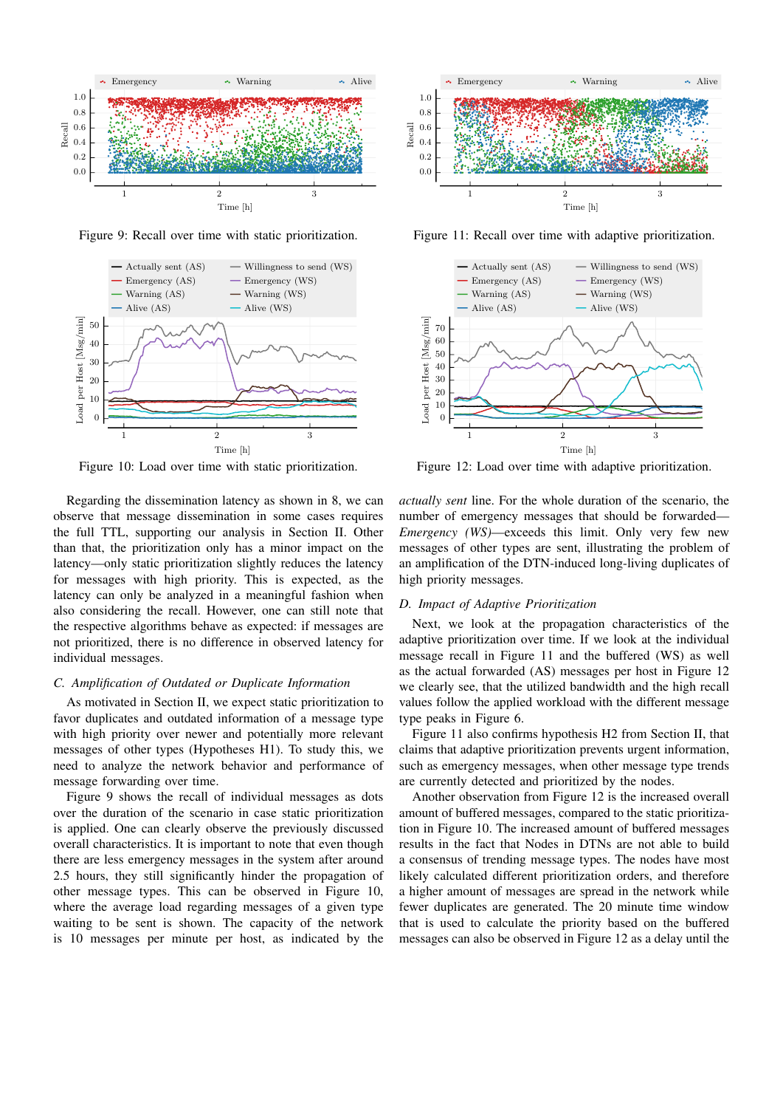

Figure 9: Recall over time with static prioritization.



Figure 10: Load over time with static prioritization.

Regarding the dissemination latency as shown in 8, we can observe that message dissemination in some cases requires the full TTL, supporting our analysis in Section II. Other than that, the prioritization only has a minor impact on the latency—only static prioritization slightly reduces the latency for messages with high priority. This is expected, as the latency can only be analyzed in a meaningful fashion when also considering the recall. However, one can still note that the respective algorithms behave as expected: if messages are not prioritized, there is no difference in observed latency for individual messages.

## *C. Amplification of Outdated or Duplicate Information*

As motivated in Section II, we expect static prioritization to favor duplicates and outdated information of a message type with high priority over newer and potentially more relevant messages of other types (Hypotheses H1). To study this, we need to analyze the network behavior and performance of message forwarding over time.

Figure 9 shows the recall of individual messages as dots over the duration of the scenario in case static prioritization is applied. One can clearly observe the previously discussed overall characteristics. It is important to note that even though there are less emergency messages in the system after around 2.5 hours, they still significantly hinder the propagation of other message types. This can be observed in Figure 10, where the average load regarding messages of a given type waiting to be sent is shown. The capacity of the network is 10 messages per minute per host, as indicated by the



Figure 11: Recall over time with adaptive prioritization.



Figure 12: Load over time with adaptive prioritization.

*actually sent* line. For the whole duration of the scenario, the number of emergency messages that should be forwarded— *Emergency (WS)*—exceeds this limit. Only very few new messages of other types are sent, illustrating the problem of an amplification of the DTN-induced long-living duplicates of high priority messages.

#### *D. Impact of Adaptive Prioritization*

Next, we look at the propagation characteristics of the adaptive prioritization over time. If we look at the individual message recall in Figure 11 and the buffered (WS) as well as the actual forwarded (AS) messages per host in Figure 12 we clearly see, that the utilized bandwidth and the high recall values follow the applied workload with the different message type peaks in Figure 6.

Figure 11 also confirms hypothesis H2 from Section II, that claims that adaptive prioritization prevents urgent information, such as emergency messages, when other message type trends are currently detected and prioritized by the nodes.

Another observation from Figure 12 is the increased overall amount of buffered messages, compared to the static prioritization in Figure 10. The increased amount of buffered messages results in the fact that Nodes in DTNs are not able to build a consensus of trending message types. The nodes have most likely calculated different prioritization orders, and therefore a higher amount of messages are spread in the network while fewer duplicates are generated. The 20 minute time window that is used to calculate the priority based on the buffered messages can also be observed in Figure 12 as a delay until the